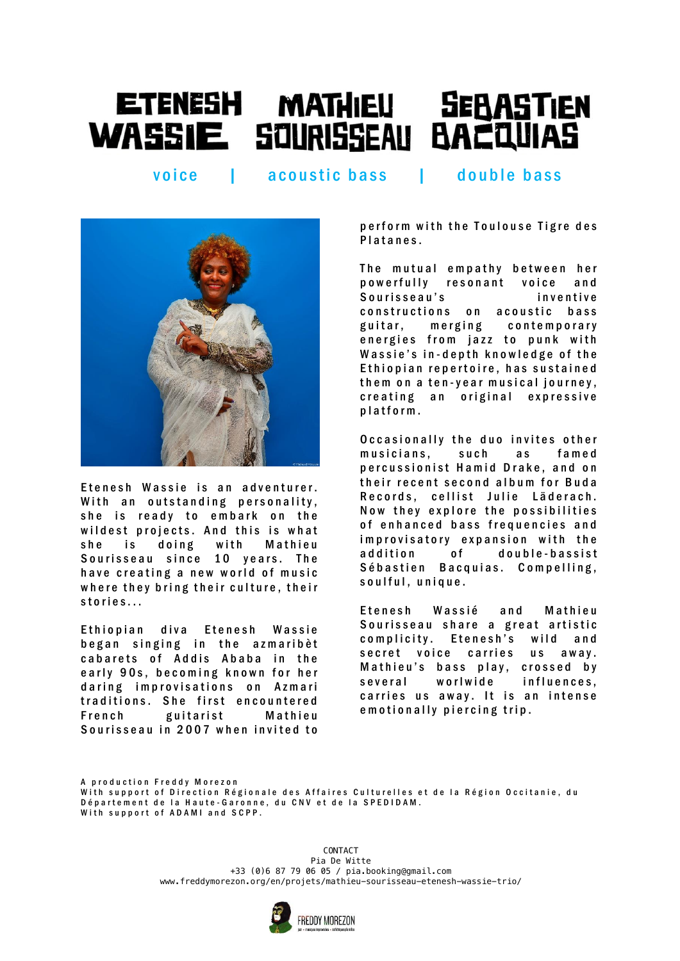## ETENESH MATHIEU SEBASTIEN<br>WASSIE SOURISSEAU BACQUIAS

voice | acoustic bass | double bass



Etenesh Wassie is an adventurer. With an outstanding personality, she is ready to embark on the wildest projects. And this is what she is doing with Mathieu Sourisseau since 10 years. The have creating a new world of music where they bring their culture, their stories...

Ethiopian diva Etenesh Wassie began singing in the azmaribèt cabarets of Addis Ababa in the early 90s, becoming known for her daring improvisations on Azmari traditions. She first encountered French guitarist Mathieu Sourisseau in 2007 when invited to

perform with the Toulouse Tigre des Platanes.

The mutual empathy between her powerfully resonant voice and Sourisseau's inventive constructions on acoustic bass guitar, merging contemporary energies from jazz to punk with Wassie's in-depth knowledge of the Ethiopian repertoire, has sustained them on a ten-year musical journey, creating an original expressive platform.

Occasionally the duo invites other musicians, such as famed percussionist Hamid Drake, and on their recent second album for Buda Records, cellist Julie Läderach. Now they explore the possibilities of enhanced bass frequencies and improvisatory expansion with the addition of double-bassist Sébastien Bacquias. Compelling, soulful, unique.

Etenesh Wassié and Mathieu Sourisseau share a great artistic complicity. Etenesh's wild and secret voice carries us away. Mathieu's bass play, crossed by several worlwide influences, carries us away. It is an intense e m o tionally piercing trip.

A production Freddy Morezon With support of Direction Régionale des Affaires Culturelles et de la Région Occitanie, du Département de la Haute-Garonne, du CNV et de la SPEDIDAM. With support of ADAMI and SCPP.

> M a n a g e m e n t & b o o k i n g : S o p h i e B e r n a r d | [e t e n e s h . w a s s i e @ g m a i l . c o m](mailto:etenesh.wassie@gmail.com) +33 (0)6 87 79 06 05 / pia.booking@gmail.com + 35 (0,0 07 75 00 05 / pranooning egmant.com www.freddymorezon.org/en/projets/mathieu–sourisseau–etenesh–wassie–trio/<br>. CONTACT Pia De Witte